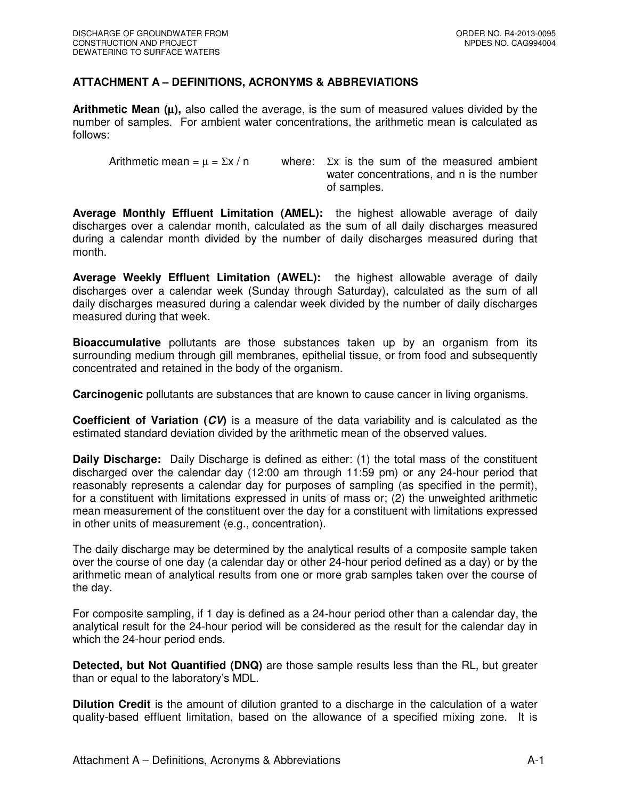## **ATTACHMENT A – DEFINITIONS, ACRONYMS & ABBREVIATIONS**

**Arithmetic Mean (**µ**),** also called the average, is the sum of measured values divided by the number of samples. For ambient water concentrations, the arithmetic mean is calculated as follows:

Arithmetic mean =  $\mu$  =  $\Sigma x / n$  where:  $\Sigma x$  is the sum of the measured ambient water concentrations, and n is the number of samples.

**Average Monthly Effluent Limitation (AMEL):** the highest allowable average of daily discharges over a calendar month, calculated as the sum of all daily discharges measured during a calendar month divided by the number of daily discharges measured during that month.

**Average Weekly Effluent Limitation (AWEL):** the highest allowable average of daily discharges over a calendar week (Sunday through Saturday), calculated as the sum of all daily discharges measured during a calendar week divided by the number of daily discharges measured during that week.

**Bioaccumulative** pollutants are those substances taken up by an organism from its surrounding medium through gill membranes, epithelial tissue, or from food and subsequently concentrated and retained in the body of the organism.

**Carcinogenic** pollutants are substances that are known to cause cancer in living organisms.

**Coefficient of Variation (CV)** is a measure of the data variability and is calculated as the estimated standard deviation divided by the arithmetic mean of the observed values.

**Daily Discharge:** Daily Discharge is defined as either: (1) the total mass of the constituent discharged over the calendar day (12:00 am through 11:59 pm) or any 24-hour period that reasonably represents a calendar day for purposes of sampling (as specified in the permit), for a constituent with limitations expressed in units of mass or; (2) the unweighted arithmetic mean measurement of the constituent over the day for a constituent with limitations expressed in other units of measurement (e.g., concentration).

The daily discharge may be determined by the analytical results of a composite sample taken over the course of one day (a calendar day or other 24-hour period defined as a day) or by the arithmetic mean of analytical results from one or more grab samples taken over the course of the day.

For composite sampling, if 1 day is defined as a 24-hour period other than a calendar day, the analytical result for the 24-hour period will be considered as the result for the calendar day in which the 24-hour period ends.

**Detected, but Not Quantified (DNQ)** are those sample results less than the RL, but greater than or equal to the laboratory's MDL.

**Dilution Credit** is the amount of dilution granted to a discharge in the calculation of a water quality-based effluent limitation, based on the allowance of a specified mixing zone. It is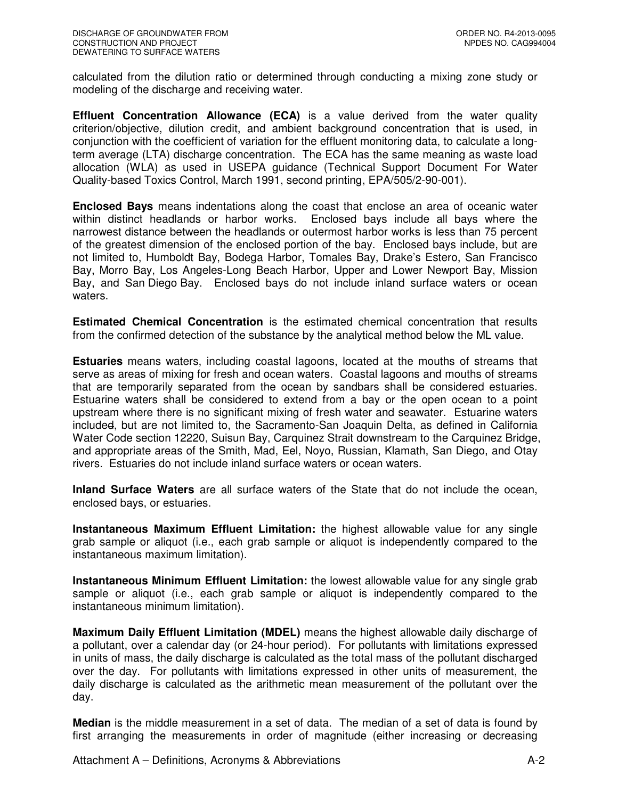calculated from the dilution ratio or determined through conducting a mixing zone study or modeling of the discharge and receiving water.

**Effluent Concentration Allowance (ECA)** is a value derived from the water quality criterion/objective, dilution credit, and ambient background concentration that is used, in conjunction with the coefficient of variation for the effluent monitoring data, to calculate a longterm average (LTA) discharge concentration. The ECA has the same meaning as waste load allocation (WLA) as used in USEPA guidance (Technical Support Document For Water Quality-based Toxics Control, March 1991, second printing, EPA/505/2-90-001).

**Enclosed Bays** means indentations along the coast that enclose an area of oceanic water within distinct headlands or harbor works. Enclosed bays include all bays where the narrowest distance between the headlands or outermost harbor works is less than 75 percent of the greatest dimension of the enclosed portion of the bay. Enclosed bays include, but are not limited to, Humboldt Bay, Bodega Harbor, Tomales Bay, Drake's Estero, San Francisco Bay, Morro Bay, Los Angeles-Long Beach Harbor, Upper and Lower Newport Bay, Mission Bay, and San Diego Bay. Enclosed bays do not include inland surface waters or ocean waters.

**Estimated Chemical Concentration** is the estimated chemical concentration that results from the confirmed detection of the substance by the analytical method below the ML value.

**Estuaries** means waters, including coastal lagoons, located at the mouths of streams that serve as areas of mixing for fresh and ocean waters. Coastal lagoons and mouths of streams that are temporarily separated from the ocean by sandbars shall be considered estuaries. Estuarine waters shall be considered to extend from a bay or the open ocean to a point upstream where there is no significant mixing of fresh water and seawater. Estuarine waters included, but are not limited to, the Sacramento-San Joaquin Delta, as defined in California Water Code section 12220, Suisun Bay, Carquinez Strait downstream to the Carquinez Bridge, and appropriate areas of the Smith, Mad, Eel, Noyo, Russian, Klamath, San Diego, and Otay rivers. Estuaries do not include inland surface waters or ocean waters.

**Inland Surface Waters** are all surface waters of the State that do not include the ocean, enclosed bays, or estuaries.

**Instantaneous Maximum Effluent Limitation:** the highest allowable value for any single grab sample or aliquot (i.e., each grab sample or aliquot is independently compared to the instantaneous maximum limitation).

**Instantaneous Minimum Effluent Limitation:** the lowest allowable value for any single grab sample or aliquot (i.e., each grab sample or aliquot is independently compared to the instantaneous minimum limitation).

**Maximum Daily Effluent Limitation (MDEL)** means the highest allowable daily discharge of a pollutant, over a calendar day (or 24-hour period). For pollutants with limitations expressed in units of mass, the daily discharge is calculated as the total mass of the pollutant discharged over the day. For pollutants with limitations expressed in other units of measurement, the daily discharge is calculated as the arithmetic mean measurement of the pollutant over the day.

**Median** is the middle measurement in a set of data. The median of a set of data is found by first arranging the measurements in order of magnitude (either increasing or decreasing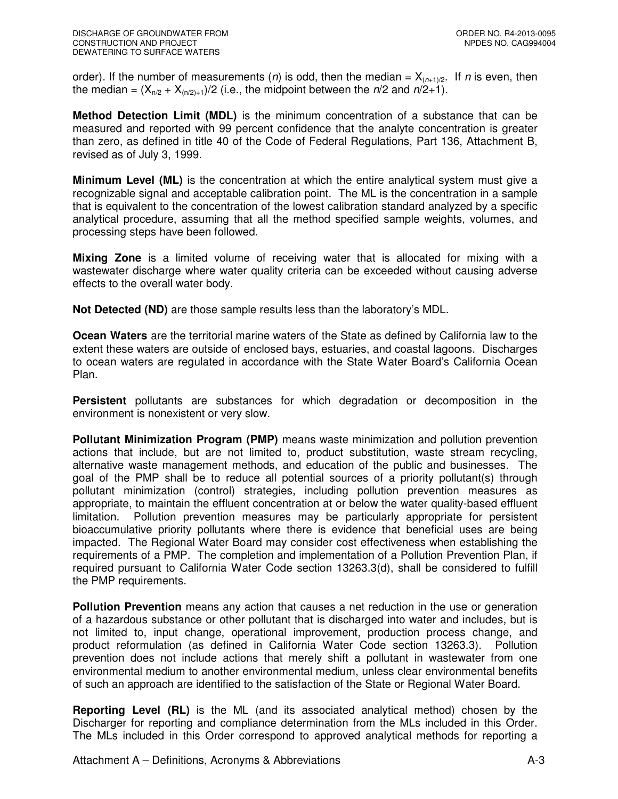order). If the number of measurements (*n*) is odd, then the median =  $X_{(n+1)/2}$ . If *n* is even, then the median =  $(X_{n/2} + X_{n/2)+1}/2$  (i.e., the midpoint between the  $n/2$  and  $n/2+1$ ).

**Method Detection Limit (MDL)** is the minimum concentration of a substance that can be measured and reported with 99 percent confidence that the analyte concentration is greater than zero, as defined in title 40 of the Code of Federal Regulations, Part 136, Attachment B, revised as of July 3, 1999.

**Minimum Level (ML)** is the concentration at which the entire analytical system must give a recognizable signal and acceptable calibration point. The ML is the concentration in a sample that is equivalent to the concentration of the lowest calibration standard analyzed by a specific analytical procedure, assuming that all the method specified sample weights, volumes, and processing steps have been followed.

**Mixing Zone** is a limited volume of receiving water that is allocated for mixing with a wastewater discharge where water quality criteria can be exceeded without causing adverse effects to the overall water body.

**Not Detected (ND)** are those sample results less than the laboratory's MDL.

**Ocean Waters** are the territorial marine waters of the State as defined by California law to the extent these waters are outside of enclosed bays, estuaries, and coastal lagoons. Discharges to ocean waters are regulated in accordance with the State Water Board's California Ocean Plan.

**Persistent** pollutants are substances for which degradation or decomposition in the environment is nonexistent or very slow.

**Pollutant Minimization Program (PMP)** means waste minimization and pollution prevention actions that include, but are not limited to, product substitution, waste stream recycling, alternative waste management methods, and education of the public and businesses. The goal of the PMP shall be to reduce all potential sources of a priority pollutant(s) through pollutant minimization (control) strategies, including pollution prevention measures as appropriate, to maintain the effluent concentration at or below the water quality-based effluent limitation. Pollution prevention measures may be particularly appropriate for persistent bioaccumulative priority pollutants where there is evidence that beneficial uses are being impacted. The Regional Water Board may consider cost effectiveness when establishing the requirements of a PMP. The completion and implementation of a Pollution Prevention Plan, if required pursuant to California Water Code section 13263.3(d), shall be considered to fulfill the PMP requirements.

**Pollution Prevention** means any action that causes a net reduction in the use or generation of a hazardous substance or other pollutant that is discharged into water and includes, but is not limited to, input change, operational improvement, production process change, and product reformulation (as defined in California Water Code section 13263.3). Pollution prevention does not include actions that merely shift a pollutant in wastewater from one environmental medium to another environmental medium, unless clear environmental benefits of such an approach are identified to the satisfaction of the State or Regional Water Board.

**Reporting Level (RL)** is the ML (and its associated analytical method) chosen by the Discharger for reporting and compliance determination from the MLs included in this Order. The MLs included in this Order correspond to approved analytical methods for reporting a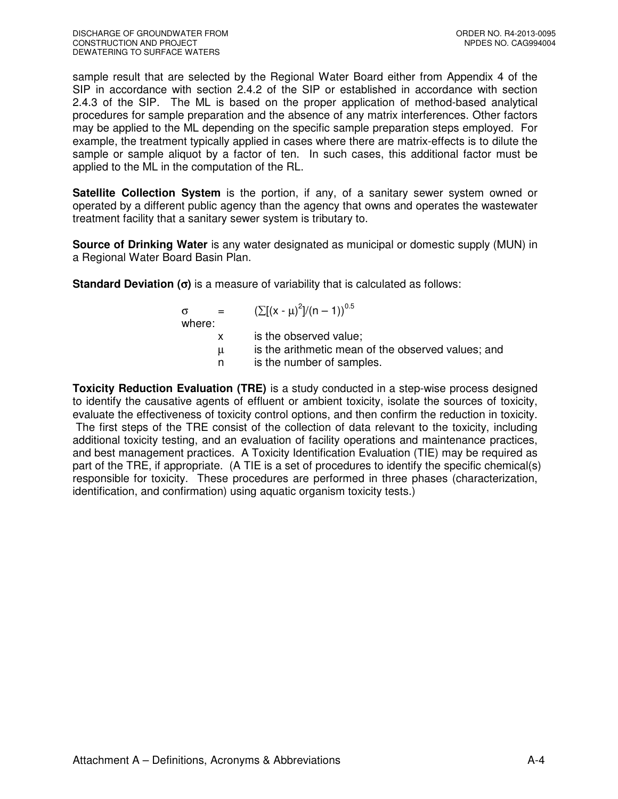sample result that are selected by the Regional Water Board either from Appendix 4 of the SIP in accordance with section 2.4.2 of the SIP or established in accordance with section 2.4.3 of the SIP. The ML is based on the proper application of method-based analytical procedures for sample preparation and the absence of any matrix interferences. Other factors may be applied to the ML depending on the specific sample preparation steps employed. For example, the treatment typically applied in cases where there are matrix-effects is to dilute the sample or sample aliquot by a factor of ten. In such cases, this additional factor must be applied to the ML in the computation of the RL.

**Satellite Collection System** is the portion, if any, of a sanitary sewer system owned or operated by a different public agency than the agency that owns and operates the wastewater treatment facility that a sanitary sewer system is tributary to.

**Source of Drinking Water** is any water designated as municipal or domestic supply (MUN) in a Regional Water Board Basin Plan.

**Standard Deviation (**σ**)** is a measure of variability that is calculated as follows:

| $\alpha = 1$<br>where: | $(\sum [(x - \mu)^2]/(n - 1))^{0.5}$               |
|------------------------|----------------------------------------------------|
|                        | is the observed value;                             |
| $\mu$                  | is the arithmetic mean of the observed values; and |
| n.                     | is the number of samples.                          |

**Toxicity Reduction Evaluation (TRE)** is a study conducted in a step-wise process designed to identify the causative agents of effluent or ambient toxicity, isolate the sources of toxicity, evaluate the effectiveness of toxicity control options, and then confirm the reduction in toxicity. The first steps of the TRE consist of the collection of data relevant to the toxicity, including additional toxicity testing, and an evaluation of facility operations and maintenance practices, and best management practices. A Toxicity Identification Evaluation (TIE) may be required as part of the TRE, if appropriate. (A TIE is a set of procedures to identify the specific chemical(s) responsible for toxicity. These procedures are performed in three phases (characterization, identification, and confirmation) using aquatic organism toxicity tests.)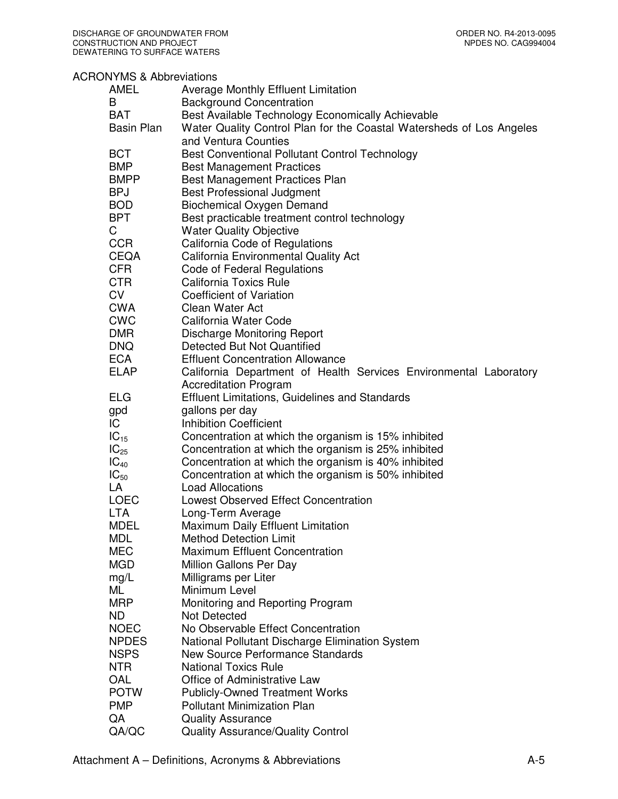## ACRONYMS & Abbreviations

| <b>AMEL</b>       | <b>Average Monthly Effluent Limitation</b>                           |
|-------------------|----------------------------------------------------------------------|
| B                 | <b>Background Concentration</b>                                      |
| <b>BAT</b>        | Best Available Technology Economically Achievable                    |
| <b>Basin Plan</b> | Water Quality Control Plan for the Coastal Watersheds of Los Angeles |
|                   | and Ventura Counties                                                 |
|                   |                                                                      |
| <b>BCT</b>        | Best Conventional Pollutant Control Technology                       |
| <b>BMP</b>        | <b>Best Management Practices</b>                                     |
| <b>BMPP</b>       | Best Management Practices Plan                                       |
| <b>BPJ</b>        | <b>Best Professional Judgment</b>                                    |
| <b>BOD</b>        | <b>Biochemical Oxygen Demand</b>                                     |
| <b>BPT</b>        | Best practicable treatment control technology                        |
| C                 | <b>Water Quality Objective</b>                                       |
| <b>CCR</b>        | California Code of Regulations                                       |
| <b>CEQA</b>       | <b>California Environmental Quality Act</b>                          |
| <b>CFR</b>        | Code of Federal Regulations                                          |
| <b>CTR</b>        | <b>California Toxics Rule</b>                                        |
|                   |                                                                      |
| <b>CV</b>         | <b>Coefficient of Variation</b>                                      |
| <b>CWA</b>        | Clean Water Act                                                      |
| <b>CWC</b>        | California Water Code                                                |
| <b>DMR</b>        | Discharge Monitoring Report                                          |
| <b>DNQ</b>        | Detected But Not Quantified                                          |
| <b>ECA</b>        | <b>Effluent Concentration Allowance</b>                              |
| <b>ELAP</b>       | California Department of Health Services Environmental Laboratory    |
|                   | <b>Accreditation Program</b>                                         |
| <b>ELG</b>        | <b>Effluent Limitations, Guidelines and Standards</b>                |
| gpd               | gallons per day                                                      |
|                   | <b>Inhibition Coefficient</b>                                        |
| IC.               |                                                                      |
| $IC_{15}$         | Concentration at which the organism is 15% inhibited                 |
| $IC_{25}$         | Concentration at which the organism is 25% inhibited                 |
| $IC_{40}$         | Concentration at which the organism is 40% inhibited                 |
| $IC_{50}$         | Concentration at which the organism is 50% inhibited                 |
| LA                | <b>Load Allocations</b>                                              |
| <b>LOEC</b>       | Lowest Observed Effect Concentration                                 |
| <b>LTA</b>        | Long-Term Average                                                    |
| <b>MDEL</b>       | Maximum Daily Effluent Limitation                                    |
| <b>MDL</b>        | <b>Method Detection Limit</b>                                        |
| <b>MEC</b>        | <b>Maximum Effluent Concentration</b>                                |
| <b>MGD</b>        | Million Gallons Per Day                                              |
|                   | Milligrams per Liter                                                 |
| mg/L              |                                                                      |
| ML                | Minimum Level                                                        |
| <b>MRP</b>        | Monitoring and Reporting Program                                     |
| ND.               | <b>Not Detected</b>                                                  |
| <b>NOEC</b>       | No Observable Effect Concentration                                   |
| <b>NPDES</b>      | National Pollutant Discharge Elimination System                      |
| <b>NSPS</b>       | New Source Performance Standards                                     |
| <b>NTR</b>        | <b>National Toxics Rule</b>                                          |
| OAL               | Office of Administrative Law                                         |
| <b>POTW</b>       | <b>Publicly-Owned Treatment Works</b>                                |
| <b>PMP</b>        | <b>Pollutant Minimization Plan</b>                                   |
|                   |                                                                      |
| QA                | <b>Quality Assurance</b>                                             |
| QA/QC             | <b>Quality Assurance/Quality Control</b>                             |